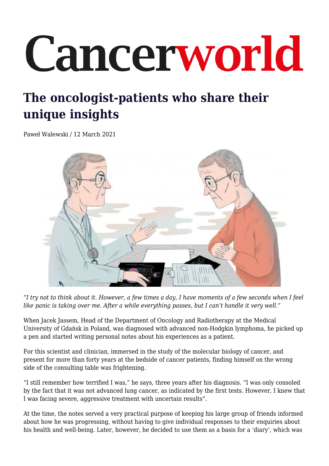# Cancerworld

# **The oncologist-patients who share their unique insights**

Paweł Walewski / 12 March 2021



*"I try not to think about it. However, a few times a day, I have moments of a few seconds when I feel like panic is taking over me. After a while everything passes, but I can't handle it very well."*

When Jacek Jassem, Head of the Department of Oncology and Radiotherapy at the Medical University of Gdańsk in Poland, was diagnosed with advanced non-Hodgkin lymphoma, he picked up a pen and started writing personal notes about his experiences as a patient.

For this scientist and clinician, immersed in the study of the molecular biology of cancer, and present for more than forty years at the bedside of cancer patients, finding himself on the wrong side of the consulting table was frightening.

"I still remember how terrified I was," he says, three years after his diagnosis. "I was only consoled by the fact that it was not advanced lung cancer, as indicated by the first tests. However, I knew that I was facing severe, aggressive treatment with uncertain results".

At the time, the notes served a very practical purpose of keeping his large group of friends informed about how he was progressing, without having to give individual responses to their enquiries about his health and well-being. Later, however, he decided to use them as a basis for a 'diary', which was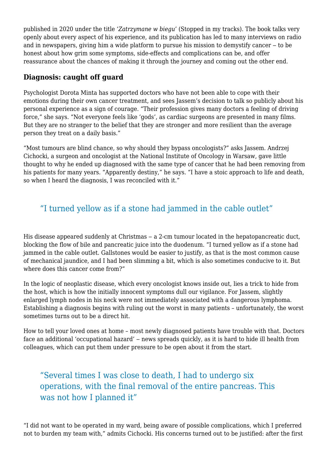published in 2020 under the title '*Zatrzymane w biegu*' (Stopped in my tracks). The book talks very openly about every aspect of his experience, and its publication has led to many interviews on radio and in newspapers, giving him a wide platform to pursue his mission to demystify cancer  $-$  to be honest about how grim some symptoms, side-effects and complications can be, and offer reassurance about the chances of making it through the journey and coming out the other end.

#### **Diagnosis: caught off guard**

Psychologist Dorota Minta has supported doctors who have not been able to cope with their emotions during their own cancer treatment, and sees Jassem's decision to talk so publicly about his personal experience as a sign of courage. "Their profession gives many doctors a feeling of driving force," she says. "Not everyone feels like 'gods', as cardiac surgeons are presented in many films. But they are no stranger to the belief that they are stronger and more resilient than the average person they treat on a daily basis."

"Most tumours are blind chance, so why should they bypass oncologists?" asks Jassem. Andrzej Cichocki, a surgeon and oncologist at the National Institute of Oncology in Warsaw, gave little thought to why he ended up diagnosed with the same type of cancer that he had been removing from his patients for many years. "Apparently destiny," he says. "I have a stoic approach to life and death, so when I heard the diagnosis, I was reconciled with it."

# "I turned yellow as if a stone had jammed in the cable outlet"

His disease appeared suddenly at Christmas – a 2-cm tumour located in the hepatopancreatic duct, blocking the flow of bile and pancreatic juice into the duodenum. "I turned yellow as if a stone had jammed in the cable outlet. Gallstones would be easier to justify, as that is the most common cause of mechanical jaundice, and I had been slimming a bit, which is also sometimes conducive to it. But where does this cancer come from?"

In the logic of neoplastic disease, which every oncologist knows inside out, lies a trick to hide from the host, which is how the initially innocent symptoms dull our vigilance. For Jassem, slightly enlarged lymph nodes in his neck were not immediately associated with a dangerous lymphoma. Establishing a diagnosis begins with ruling out the worst in many patients – unfortunately, the worst sometimes turns out to be a direct hit.

How to tell your loved ones at home – most newly diagnosed patients have trouble with that. Doctors face an additional 'occupational hazard' – news spreads quickly, as it is hard to hide ill health from colleagues, which can put them under pressure to be open about it from the start.

# "Several times I was close to death, I had to undergo six operations, with the final removal of the entire pancreas. This was not how I planned it"

"I did not want to be operated in my ward, being aware of possible complications, which I preferred not to burden my team with," admits Cichocki. His concerns turned out to be justified: after the first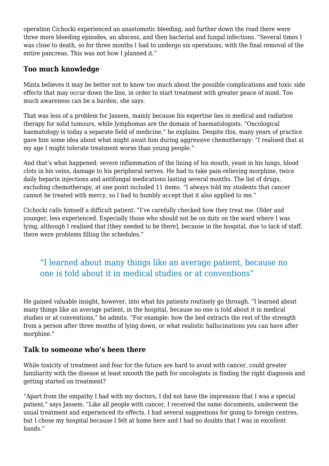operation Cichocki experienced an anastomotic bleeding, and further down the road there were three more bleeding episodes, an abscess, and then bacterial and fungal infections. "Several times I was close to death, so for three months I had to undergo six operations, with the final removal of the entire pancreas. This was not how I planned it."

#### **Too much knowledge**

Minta believes it may be better not to know too much about the possible complications and toxic side effects that may occur down the line, in order to start treatment with greater peace of mind. Too much awareness can be a burden, she says.

That was less of a problem for Jassem, mainly because his expertise lies in medical and radiation therapy for solid tumours, while lymphomas are the domain of haematologists. "Oncological haematology is today a separate field of medicine," he explains. Despite this, many years of practice gave him some idea about what might await him during aggressive chemotherapy: "I realised that at my age I might tolerate treatment worse than young people."

And that's what happened: severe inflammation of the lining of his mouth, yeast in his lungs, blood clots in his veins, damage to his peripheral nerves. He had to take pain-relieving morphine, twice daily heparin injections and antifungal medications lasting several months. The list of drugs, excluding chemotherapy, at one point included 11 items. "I always told my students that cancer cannot be treated with mercy, so I had to humbly accept that it also applied to me."

Cichocki calls himself a difficult patient. "I've carefully checked how they treat me. Older and younger, less experienced. Especially those who should not be on duty on the ward where I was lying, although I realised that [they needed to be there], because in the hospital, due to lack of staff, there were problems filling the schedules."

#### "I learned about many things like an average patient, because no one is told about it in medical studies or at conventions"

He gained valuable insight, however, into what his patients routinely go through. "I learned about many things like an average patient, in the hospital, because no one is told about it in medical studies or at conventions," he admits. "For example: how the bed extracts the rest of the strength from a person after three months of lying down, or what realistic hallucinations you can have after morphine."

#### **Talk to someone who's been there**

While toxicity of treatment and fear for the future are hard to avoid with cancer, could greater familiarity with the disease at least smooth the path for oncologists in finding the right diagnosis and getting started on treatment?

"Apart from the empathy I had with my doctors, I did not have the impression that I was a special patient," says Jassem. "Like all people with cancer, I received the same documents, underwent the usual treatment and experienced its effects. I had several suggestions for going to foreign centres, but I chose my hospital because I felt at home here and I had no doubts that I was in excellent hands."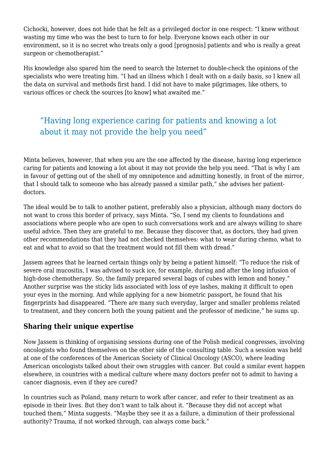Cichocki, however, does not hide that he felt as a privileged doctor in one respect: "I knew without wasting my time who was the best to turn to for help. Everyone knows each other in our environment, so it is no secret who treats only a good [prognosis] patients and who is really a great surgeon or chemotherapist."

His knowledge also spared him the need to search the Internet to double-check the opinions of the specialists who were treating him. "I had an illness which I dealt with on a daily basis, so I knew all the data on survival and methods first hand. I did not have to make pilgrimages, like others, to various offices or check the sources [to know] what awaited me."

## "Having long experience caring for patients and knowing a lot about it may not provide the help you need"

Minta believes, however, that when you are the one affected by the disease, having long experience caring for patients and knowing a lot about it may not provide the help you need. "That is why I am in favour of getting out of the shell of my omnipotence and admitting honestly, in front of the mirror, that I should talk to someone who has already passed a similar path," she advises her patientdoctors.

The ideal would be to talk to another patient, preferably also a physician, although many doctors do not want to cross this border of privacy, says Minta. "So, I send my clients to foundations and associations where people who are open to such conversations work and are always willing to share useful advice. Then they are grateful to me. Because they discover that, as doctors, they had given other recommendations that they had not checked themselves: what to wear during chemo, what to eat and what to avoid so that the treatment would not fill them with dread."

Jassem agrees that he learned certain things only by being a patient himself: "To reduce the risk of severe oral mucositis, I was advised to suck ice, for example, during and after the long infusion of high-dose chemotherapy. So, the family prepared several bags of cubes with lemon and honey." Another surprise was the sticky lids associated with loss of eye lashes, making it difficult to open your eyes in the morning. And while applying for a new biometric passport, he found that his fingerprints had disappeared. "There are many such everyday, larger and smaller problems related to treatment, and they concern both the young patient and the professor of medicine," he sums up.

#### **Sharing their unique expertise**

Now Jassem is thinking of organising sessions during one of the Polish medical congresses, involving oncologists who found themselves on the other side of the consulting table. Such a session was held at one of the conferences of the American Society of Clinical Oncology (ASCO), where leading American oncologists talked about their own struggles with cancer. But could a similar event happen elsewhere, in countries with a medical culture where many doctors prefer not to admit to having a cancer diagnosis, even if they are cured?

In countries such as Poland, many return to work after cancer, and refer to their treatment as an episode in their lives. But they don't want to talk about it. "Because they did not accept what touched them," Minta suggests. "Maybe they see it as a failure, a diminution of their professional authority? Trauma, if not worked through, can always come back."